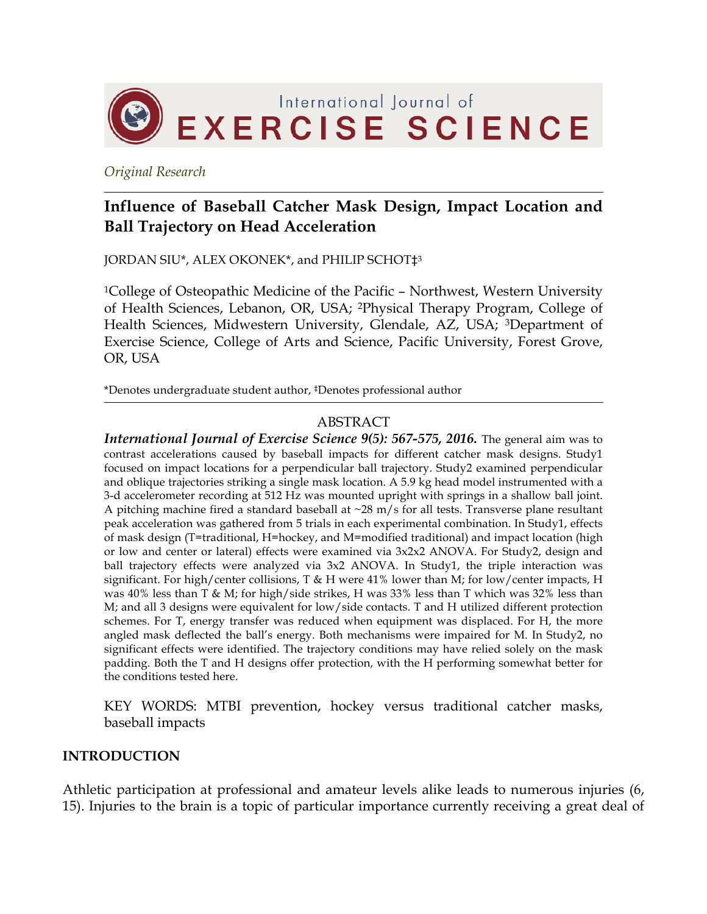

*Original Research*

# **Influence of Baseball Catcher Mask Design, Impact Location and Ball Trajectory on Head Acceleration**

JORDAN SIU\*, ALEX OKONEK\*, and PHILIP SCHOT‡3

1College of Osteopathic Medicine of the Pacific – Northwest, Western University of Health Sciences, Lebanon, OR, USA; 2Physical Therapy Program, College of Health Sciences, Midwestern University, Glendale, AZ, USA; 3Department of Exercise Science, College of Arts and Science, Pacific University, Forest Grove, OR, USA

\*Denotes undergraduate student author, ‡Denotes professional author

## ABSTRACT

*International Journal of Exercise Science 9(5): 567-575, 2016.* The general aim was to contrast accelerations caused by baseball impacts for different catcher mask designs. Study1 focused on impact locations for a perpendicular ball trajectory. Study2 examined perpendicular and oblique trajectories striking a single mask location. A 5.9 kg head model instrumented with a 3-d accelerometer recording at 512 Hz was mounted upright with springs in a shallow ball joint. A pitching machine fired a standard baseball at  $\sim$ 28 m/s for all tests. Transverse plane resultant peak acceleration was gathered from 5 trials in each experimental combination. In Study1, effects of mask design (T=traditional, H=hockey, and M=modified traditional) and impact location (high or low and center or lateral) effects were examined via 3x2x2 ANOVA. For Study2, design and ball trajectory effects were analyzed via 3x2 ANOVA. In Study1, the triple interaction was significant. For high/center collisions, T & H were  $41\%$  lower than M; for low/center impacts, H was 40% less than T & M; for high/side strikes, H was 33% less than T which was 32% less than M; and all 3 designs were equivalent for low/side contacts. T and H utilized different protection schemes. For T, energy transfer was reduced when equipment was displaced. For H, the more angled mask deflected the ball's energy. Both mechanisms were impaired for M. In Study2, no significant effects were identified. The trajectory conditions may have relied solely on the mask padding. Both the T and H designs offer protection, with the H performing somewhat better for the conditions tested here.

KEY WORDS: MTBI prevention, hockey versus traditional catcher masks, baseball impacts

#### **INTRODUCTION**

Athletic participation at professional and amateur levels alike leads to numerous injuries (6, 15). Injuries to the brain is a topic of particular importance currently receiving a great deal of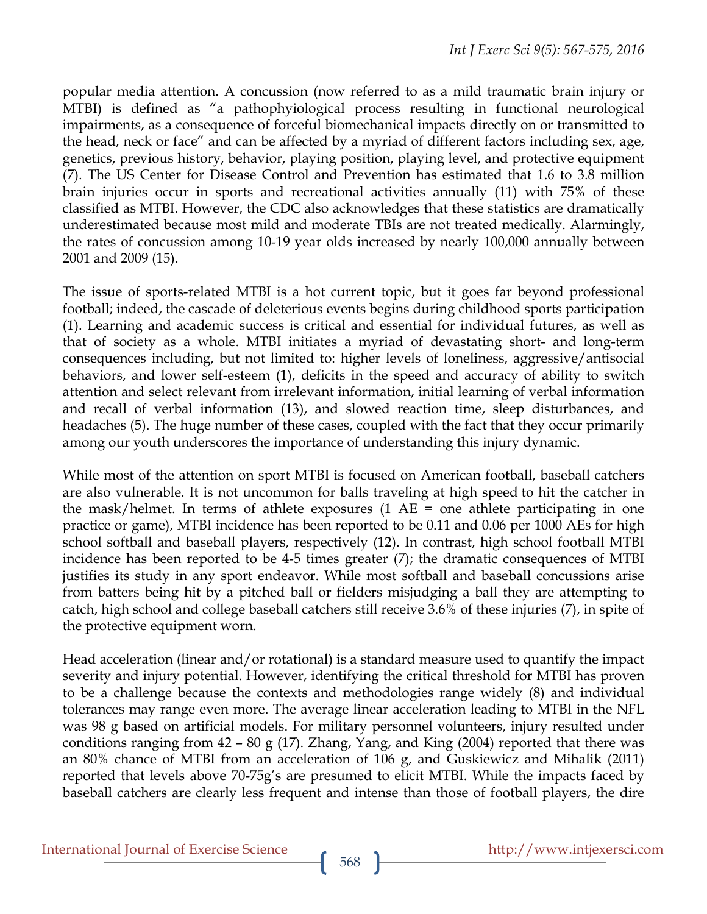popular media attention. A concussion (now referred to as a mild traumatic brain injury or MTBI) is defined as "a pathophyiological process resulting in functional neurological impairments, as a consequence of forceful biomechanical impacts directly on or transmitted to the head, neck or face" and can be affected by a myriad of different factors including sex, age, genetics, previous history, behavior, playing position, playing level, and protective equipment (7). The US Center for Disease Control and Prevention has estimated that 1.6 to 3.8 million brain injuries occur in sports and recreational activities annually (11) with 75% of these classified as MTBI. However, the CDC also acknowledges that these statistics are dramatically underestimated because most mild and moderate TBIs are not treated medically. Alarmingly, the rates of concussion among 10-19 year olds increased by nearly 100,000 annually between 2001 and 2009 (15).

The issue of sports-related MTBI is a hot current topic, but it goes far beyond professional football; indeed, the cascade of deleterious events begins during childhood sports participation (1). Learning and academic success is critical and essential for individual futures, as well as that of society as a whole. MTBI initiates a myriad of devastating short- and long-term consequences including, but not limited to: higher levels of loneliness, aggressive/antisocial behaviors, and lower self-esteem (1), deficits in the speed and accuracy of ability to switch attention and select relevant from irrelevant information, initial learning of verbal information and recall of verbal information (13), and slowed reaction time, sleep disturbances, and headaches (5). The huge number of these cases, coupled with the fact that they occur primarily among our youth underscores the importance of understanding this injury dynamic.

While most of the attention on sport MTBI is focused on American football, baseball catchers are also vulnerable. It is not uncommon for balls traveling at high speed to hit the catcher in the mask/helmet. In terms of athlete exposures (1 AE = one athlete participating in one practice or game), MTBI incidence has been reported to be 0.11 and 0.06 per 1000 AEs for high school softball and baseball players, respectively (12). In contrast, high school football MTBI incidence has been reported to be 4-5 times greater (7); the dramatic consequences of MTBI justifies its study in any sport endeavor. While most softball and baseball concussions arise from batters being hit by a pitched ball or fielders misjudging a ball they are attempting to catch, high school and college baseball catchers still receive 3.6% of these injuries (7), in spite of the protective equipment worn.

Head acceleration (linear and/or rotational) is a standard measure used to quantify the impact severity and injury potential. However, identifying the critical threshold for MTBI has proven to be a challenge because the contexts and methodologies range widely (8) and individual tolerances may range even more. The average linear acceleration leading to MTBI in the NFL was 98 g based on artificial models. For military personnel volunteers, injury resulted under conditions ranging from  $42 - 80$  g (17). Zhang, Yang, and King (2004) reported that there was an 80% chance of MTBI from an acceleration of 106 g, and Guskiewicz and Mihalik (2011) reported that levels above 70-75g's are presumed to elicit MTBI. While the impacts faced by baseball catchers are clearly less frequent and intense than those of football players, the dire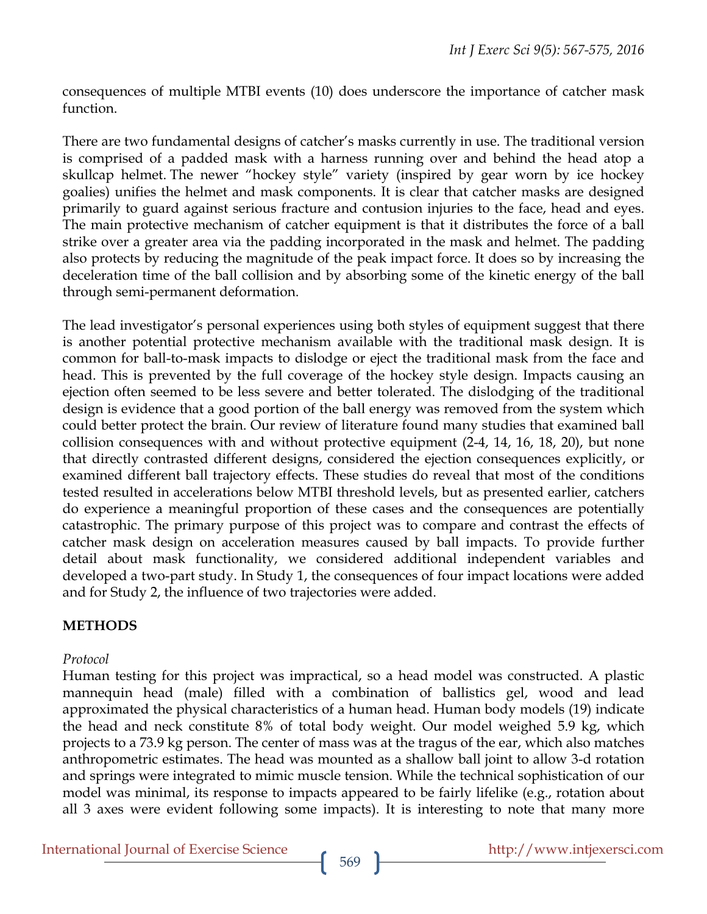consequences of multiple MTBI events (10) does underscore the importance of catcher mask function.

There are two fundamental designs of catcher's masks currently in use. The traditional version is comprised of a padded mask with a harness running over and behind the head atop a skullcap helmet. The newer "hockey style" variety (inspired by gear worn by ice hockey goalies) unifies the helmet and mask components. It is clear that catcher masks are designed primarily to guard against serious fracture and contusion injuries to the face, head and eyes. The main protective mechanism of catcher equipment is that it distributes the force of a ball strike over a greater area via the padding incorporated in the mask and helmet. The padding also protects by reducing the magnitude of the peak impact force. It does so by increasing the deceleration time of the ball collision and by absorbing some of the kinetic energy of the ball through semi-permanent deformation.

The lead investigator's personal experiences using both styles of equipment suggest that there is another potential protective mechanism available with the traditional mask design. It is common for ball-to-mask impacts to dislodge or eject the traditional mask from the face and head. This is prevented by the full coverage of the hockey style design. Impacts causing an ejection often seemed to be less severe and better tolerated. The dislodging of the traditional design is evidence that a good portion of the ball energy was removed from the system which could better protect the brain. Our review of literature found many studies that examined ball collision consequences with and without protective equipment (2-4, 14, 16, 18, 20), but none that directly contrasted different designs, considered the ejection consequences explicitly, or examined different ball trajectory effects. These studies do reveal that most of the conditions tested resulted in accelerations below MTBI threshold levels, but as presented earlier, catchers do experience a meaningful proportion of these cases and the consequences are potentially catastrophic. The primary purpose of this project was to compare and contrast the effects of catcher mask design on acceleration measures caused by ball impacts. To provide further detail about mask functionality, we considered additional independent variables and developed a two-part study. In Study 1, the consequences of four impact locations were added and for Study 2, the influence of two trajectories were added.

## **METHODS**

#### *Protocol*

Human testing for this project was impractical, so a head model was constructed. A plastic mannequin head (male) filled with a combination of ballistics gel, wood and lead approximated the physical characteristics of a human head. Human body models (19) indicate the head and neck constitute 8% of total body weight. Our model weighed 5.9 kg, which projects to a 73.9 kg person. The center of mass was at the tragus of the ear, which also matches anthropometric estimates. The head was mounted as a shallow ball joint to allow 3-d rotation and springs were integrated to mimic muscle tension. While the technical sophistication of our model was minimal, its response to impacts appeared to be fairly lifelike (e.g., rotation about all 3 axes were evident following some impacts). It is interesting to note that many more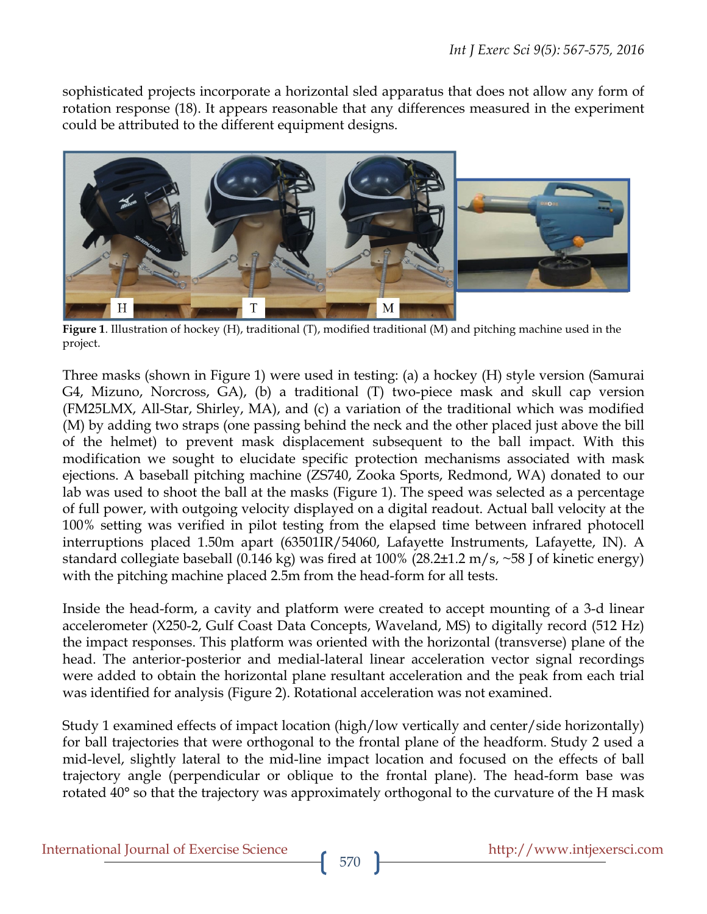sophisticated projects incorporate a horizontal sled apparatus that does not allow any form of rotation response (18). It appears reasonable that any differences measured in the experiment could be attributed to the different equipment designs.



**Figure 1**. Illustration of hockey (H), traditional (T), modified traditional (M) and pitching machine used in the project.

Three masks (shown in Figure 1) were used in testing: (a) a hockey (H) style version (Samurai G4, Mizuno, Norcross, GA), (b) a traditional (T) two-piece mask and skull cap version (FM25LMX, All-Star, Shirley, MA), and (c) a variation of the traditional which was modified (M) by adding two straps (one passing behind the neck and the other placed just above the bill of the helmet) to prevent mask displacement subsequent to the ball impact. With this modification we sought to elucidate specific protection mechanisms associated with mask ejections. A baseball pitching machine (ZS740, Zooka Sports, Redmond, WA) donated to our lab was used to shoot the ball at the masks (Figure 1). The speed was selected as a percentage of full power, with outgoing velocity displayed on a digital readout. Actual ball velocity at the 100% setting was verified in pilot testing from the elapsed time between infrared photocell interruptions placed 1.50m apart (63501IR/54060, Lafayette Instruments, Lafayette, IN). A standard collegiate baseball (0.146 kg) was fired at 100% (28.2±1.2 m/s, ~58 J of kinetic energy) with the pitching machine placed 2.5m from the head-form for all tests.

Inside the head-form, a cavity and platform were created to accept mounting of a 3-d linear accelerometer (X250-2, Gulf Coast Data Concepts, Waveland, MS) to digitally record (512 Hz) the impact responses. This platform was oriented with the horizontal (transverse) plane of the head. The anterior-posterior and medial-lateral linear acceleration vector signal recordings were added to obtain the horizontal plane resultant acceleration and the peak from each trial was identified for analysis (Figure 2). Rotational acceleration was not examined.

Study 1 examined effects of impact location (high/low vertically and center/side horizontally) for ball trajectories that were orthogonal to the frontal plane of the headform. Study 2 used a mid-level, slightly lateral to the mid-line impact location and focused on the effects of ball trajectory angle (perpendicular or oblique to the frontal plane). The head-form base was rotated 40° so that the trajectory was approximately orthogonal to the curvature of the H mask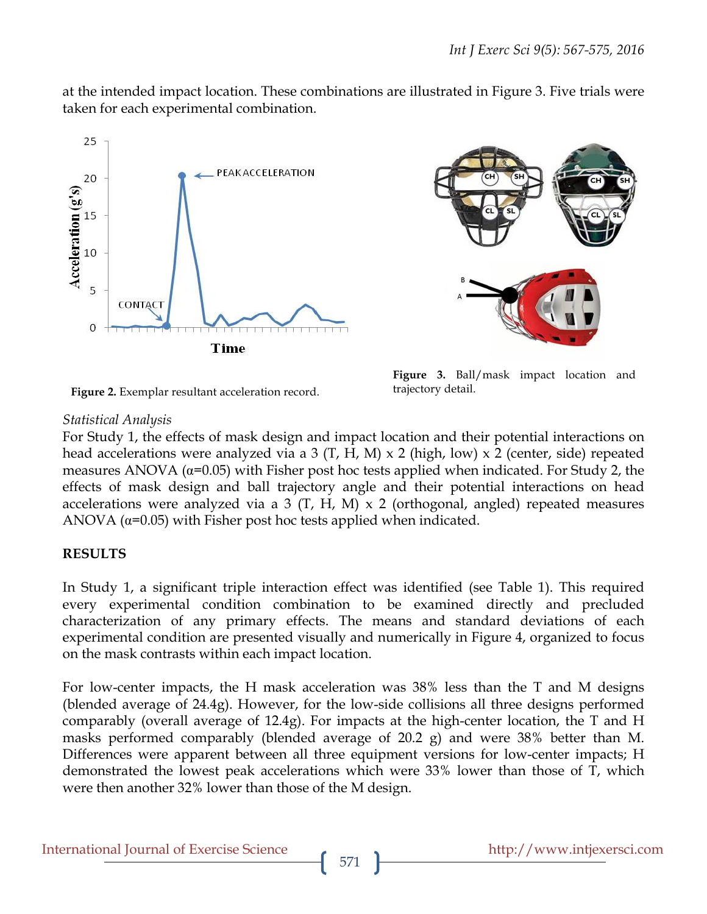at the intended impact location. These combinations are illustrated in Figure 3. Five trials were taken for each experimental combination.





**Figure 3.** Ball/mask impact location and

trajectory detail.

**Figure 2.** Exemplar resultant acceleration record.

### *Statistical Analysis*

For Study 1, the effects of mask design and impact location and their potential interactions on head accelerations were analyzed via a 3 (T, H, M) x 2 (high, low) x 2 (center, side) repeated measures ANOVA ( $\alpha$ =0.05) with Fisher post hoc tests applied when indicated. For Study 2, the effects of mask design and ball trajectory angle and their potential interactions on head accelerations were analyzed via a 3  $(T, H, M) \times 2$  (orthogonal, angled) repeated measures ANOVA  $(\alpha=0.05)$  with Fisher post hoc tests applied when indicated.

## **RESULTS**

In Study 1, a significant triple interaction effect was identified (see Table 1). This required every experimental condition combination to be examined directly and precluded characterization of any primary effects. The means and standard deviations of each experimental condition are presented visually and numerically in Figure 4, organized to focus on the mask contrasts within each impact location.

For low-center impacts, the H mask acceleration was 38% less than the T and M designs (blended average of 24.4g). However, for the low-side collisions all three designs performed comparably (overall average of 12.4g). For impacts at the high-center location, the T and H masks performed comparably (blended average of 20.2 g) and were 38% better than M. Differences were apparent between all three equipment versions for low-center impacts; H demonstrated the lowest peak accelerations which were 33% lower than those of T, which were then another 32% lower than those of the M design.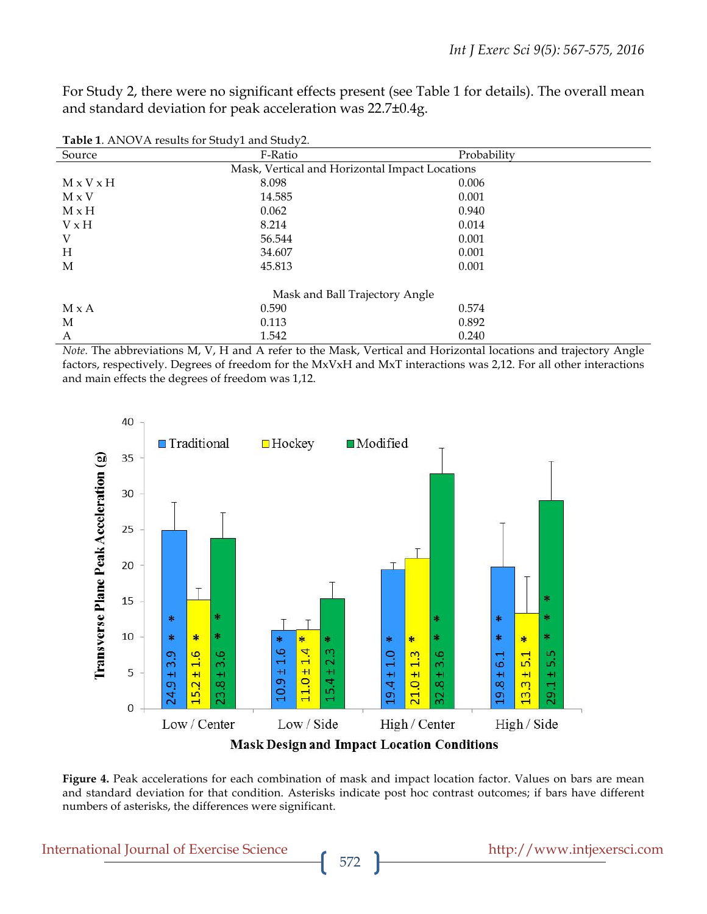For Study 2, there were no significant effects present (see Table 1 for details). The overall mean and standard deviation for peak acceleration was 22.7±0.4g.

| <b>Table 1.</b> The VIII results for black I and black $\epsilon$ . |                                                |             |  |
|---------------------------------------------------------------------|------------------------------------------------|-------------|--|
| Source                                                              | F-Ratio                                        | Probability |  |
|                                                                     | Mask, Vertical and Horizontal Impact Locations |             |  |
| $M \times V \times H$                                               | 8.098                                          | 0.006       |  |
| $M \times V$                                                        | 14.585                                         | 0.001       |  |
| $M \times H$                                                        | 0.062                                          | 0.940       |  |
| $V \times H$                                                        | 8.214                                          | 0.014       |  |
| V                                                                   | 56.544                                         | 0.001       |  |
| Н                                                                   | 34.607                                         | 0.001       |  |
| M                                                                   | 45.813                                         | 0.001       |  |
|                                                                     | Mask and Ball Trajectory Angle                 |             |  |
|                                                                     |                                                |             |  |
| $M \times A$                                                        | 0.590                                          | 0.574       |  |
| M                                                                   | 0.113                                          | 0.892       |  |
| A                                                                   | 1.542                                          | 0.240       |  |

**Table 1**. ANOVA results for Study1 and Study2.

*Note.* The abbreviations M, V, H and A refer to the Mask, Vertical and Horizontal locations and trajectory Angle factors, respectively. Degrees of freedom for the MxVxH and MxT interactions was 2,12. For all other interactions and main effects the degrees of freedom was 1,12.



**Mask Design and Impact Location Conditions** 

Figure 4. Peak accelerations for each combination of mask and impact location factor. Values on bars are mean and standard deviation for that condition. Asterisks indicate post hoc contrast outcomes; if bars have different numbers of asterisks, the differences were significant.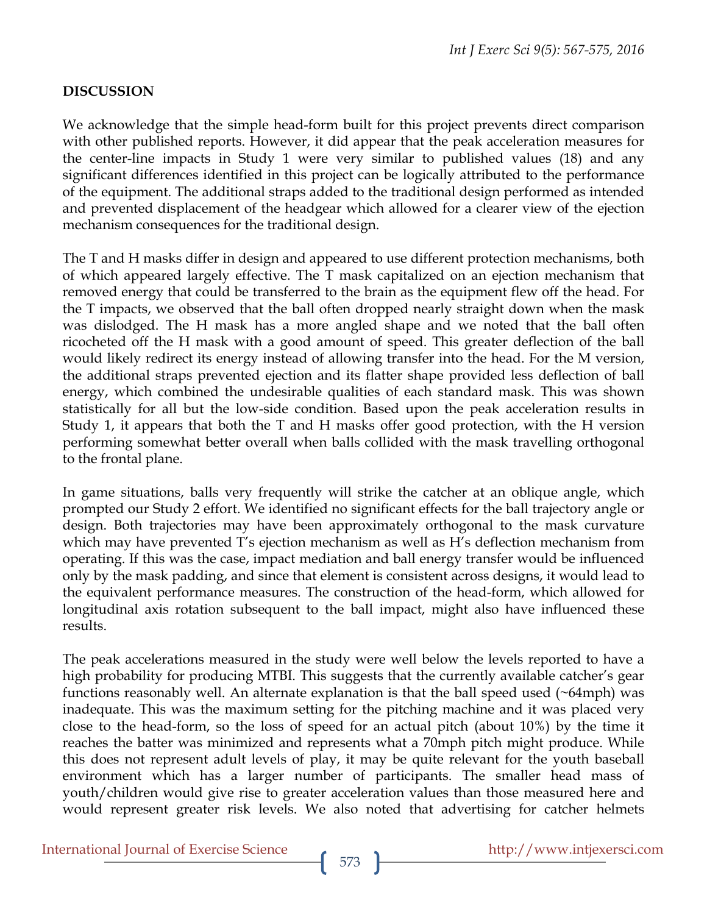## **DISCUSSION**

We acknowledge that the simple head-form built for this project prevents direct comparison with other published reports. However, it did appear that the peak acceleration measures for the center-line impacts in Study 1 were very similar to published values (18) and any significant differences identified in this project can be logically attributed to the performance of the equipment. The additional straps added to the traditional design performed as intended and prevented displacement of the headgear which allowed for a clearer view of the ejection mechanism consequences for the traditional design.

The T and H masks differ in design and appeared to use different protection mechanisms, both of which appeared largely effective. The T mask capitalized on an ejection mechanism that removed energy that could be transferred to the brain as the equipment flew off the head. For the T impacts, we observed that the ball often dropped nearly straight down when the mask was dislodged. The H mask has a more angled shape and we noted that the ball often ricocheted off the H mask with a good amount of speed. This greater deflection of the ball would likely redirect its energy instead of allowing transfer into the head. For the M version, the additional straps prevented ejection and its flatter shape provided less deflection of ball energy, which combined the undesirable qualities of each standard mask. This was shown statistically for all but the low-side condition. Based upon the peak acceleration results in Study 1, it appears that both the T and H masks offer good protection, with the H version performing somewhat better overall when balls collided with the mask travelling orthogonal to the frontal plane.

In game situations, balls very frequently will strike the catcher at an oblique angle, which prompted our Study 2 effort. We identified no significant effects for the ball trajectory angle or design. Both trajectories may have been approximately orthogonal to the mask curvature which may have prevented T's ejection mechanism as well as H's deflection mechanism from operating. If this was the case, impact mediation and ball energy transfer would be influenced only by the mask padding, and since that element is consistent across designs, it would lead to the equivalent performance measures. The construction of the head-form, which allowed for longitudinal axis rotation subsequent to the ball impact, might also have influenced these results.

The peak accelerations measured in the study were well below the levels reported to have a high probability for producing MTBI. This suggests that the currently available catcher's gear functions reasonably well. An alternate explanation is that the ball speed used  $(\sim 64$ mph) was inadequate. This was the maximum setting for the pitching machine and it was placed very close to the head-form, so the loss of speed for an actual pitch (about 10%) by the time it reaches the batter was minimized and represents what a 70mph pitch might produce. While this does not represent adult levels of play, it may be quite relevant for the youth baseball environment which has a larger number of participants. The smaller head mass of youth/children would give rise to greater acceleration values than those measured here and would represent greater risk levels. We also noted that advertising for catcher helmets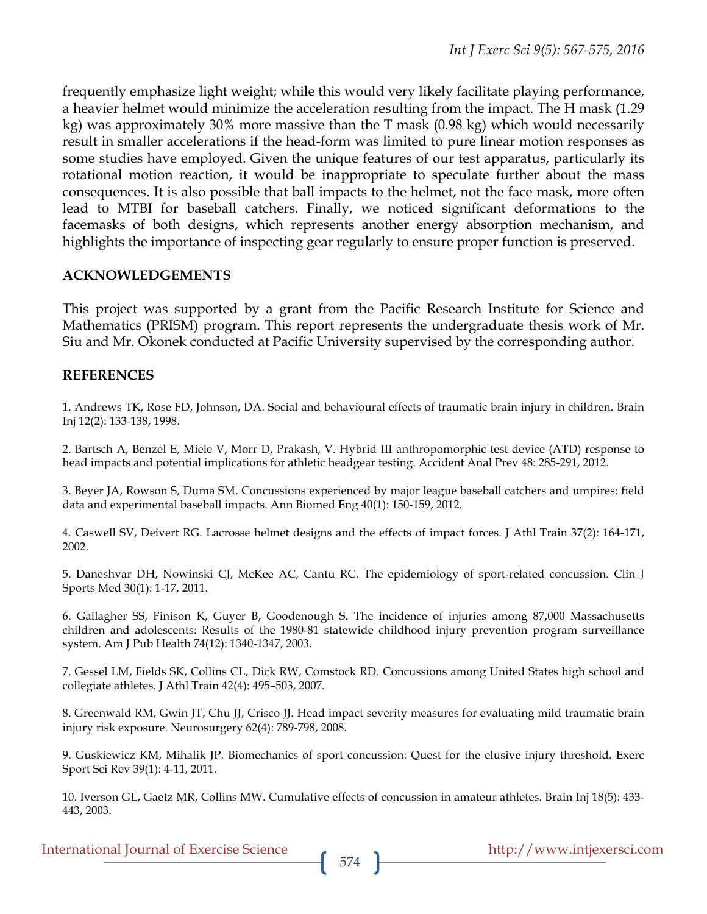frequently emphasize light weight; while this would very likely facilitate playing performance, a heavier helmet would minimize the acceleration resulting from the impact. The H mask (1.29 kg) was approximately 30% more massive than the T mask (0.98 kg) which would necessarily result in smaller accelerations if the head-form was limited to pure linear motion responses as some studies have employed. Given the unique features of our test apparatus, particularly its rotational motion reaction, it would be inappropriate to speculate further about the mass consequences. It is also possible that ball impacts to the helmet, not the face mask, more often lead to MTBI for baseball catchers. Finally, we noticed significant deformations to the facemasks of both designs, which represents another energy absorption mechanism, and highlights the importance of inspecting gear regularly to ensure proper function is preserved.

#### **ACKNOWLEDGEMENTS**

This project was supported by a grant from the Pacific Research Institute for Science and Mathematics (PRISM) program. This report represents the undergraduate thesis work of Mr. Siu and Mr. Okonek conducted at Pacific University supervised by the corresponding author.

#### **REFERENCES**

1. Andrews TK, Rose FD, Johnson, DA. Social and behavioural effects of traumatic brain injury in children. Brain Inj 12(2): 133-138, 1998.

2. Bartsch A, Benzel E, Miele V, Morr D, Prakash, V. Hybrid III anthropomorphic test device (ATD) response to head impacts and potential implications for athletic headgear testing. Accident Anal Prev 48: 285-291, 2012.

3. Beyer JA, Rowson S, Duma SM. Concussions experienced by major league baseball catchers and umpires: field data and experimental baseball impacts. Ann Biomed Eng 40(1): 150-159, 2012.

4. Caswell SV, Deivert RG. Lacrosse helmet designs and the effects of impact forces. J Athl Train 37(2): 164-171, 2002.

5. Daneshvar DH, Nowinski CJ, McKee AC, Cantu RC. The epidemiology of sport-related concussion. Clin J Sports Med 30(1): 1-17, 2011.

6. Gallagher SS, Finison K, Guyer B, Goodenough S. The incidence of injuries among 87,000 Massachusetts children and adolescents: Results of the 1980-81 statewide childhood injury prevention program surveillance system. Am J Pub Health 74(12): 1340-1347, 2003.

7. Gessel LM, Fields SK, Collins CL, Dick RW, Comstock RD. Concussions among United States high school and collegiate athletes. J Athl Train 42(4): 495–503, 2007.

8. Greenwald RM, Gwin JT, Chu JJ, Crisco JJ. Head impact severity measures for evaluating mild traumatic brain injury risk exposure. Neurosurgery 62(4): 789-798, 2008.

9. Guskiewicz KM, Mihalik JP. Biomechanics of sport concussion: Quest for the elusive injury threshold. Exerc Sport Sci Rev 39(1): 4-11, 2011.

10. Iverson GL, Gaetz MR, Collins MW. Cumulative effects of concussion in amateur athletes. Brain Inj 18(5): 433- 443, 2003.